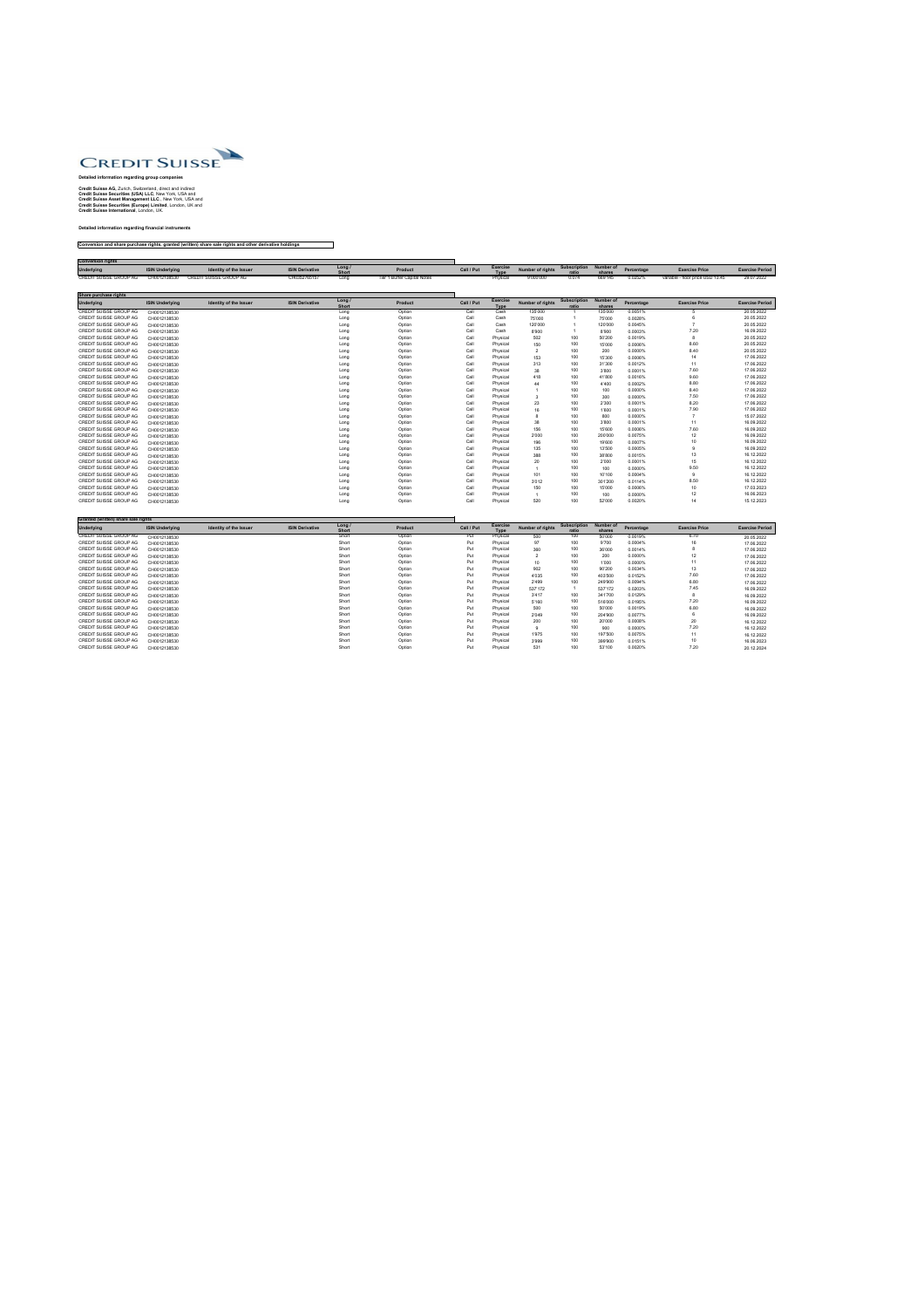

## **Detailed information regarding group companies**

**Credit Suisse AG,** Zurich, Switzerland, direct and indirect **Credit Suisse Securities (USA) LLC**, New York, USA and **Credit Suisse Asset Management LLC**., New York, USA and **Credit Suisse Securities (Europe) Limited**, London, UK and **Credit Suisse International**, London, UK.

**Detailed information regarding financial instruments**

**Conversion and share purchase rights, granted (written) share sale rights and other derivative holdings**

| <b>Conversion rights</b>      |                        |                               |                        |                      |                             |            |                                |                         |                                 |         |            |                                  |                        |
|-------------------------------|------------------------|-------------------------------|------------------------|----------------------|-----------------------------|------------|--------------------------------|-------------------------|---------------------------------|---------|------------|----------------------------------|------------------------|
| <b>Underlying</b>             | <b>ISIN Underlying</b> | <b>Identity of the Issuer</b> | <b>ISIN Derivative</b> | Long<br><b>Short</b> | Product                     | Call / Put | <b>Exercise</b><br><b>Type</b> | <b>Number of rights</b> | Subscription Number of<br>ratio | shares  | Percentage | <b>Exercise Price</b>            | <b>Exercise Period</b> |
| <b>CREDIT SUISSE GROUP AG</b> | CH0012138530           | CREDIT SUISSE GROUP AG        | CH0352765157           | Long                 | Tier 1 Buffer Capital Notes |            | Physical                       | 9'000'000               | 0.074                           | 669'145 | 0.0252%    | variable - floor price USD 13.45 | 29.07.2022             |

| Share purchase rights         |                        |                               |                        |                        |                |            |                                |                         |                              |                            |            |                       |                        |
|-------------------------------|------------------------|-------------------------------|------------------------|------------------------|----------------|------------|--------------------------------|-------------------------|------------------------------|----------------------------|------------|-----------------------|------------------------|
| Underlying                    | <b>ISIN Underlying</b> | <b>Identity of the Issuer</b> | <b>ISIN Derivative</b> | Long /<br><b>Short</b> | <b>Product</b> | Call / Put | <b>Exercise</b><br><b>Type</b> | <b>Number of rights</b> | <b>Subscription</b><br>ratio | <b>Number of</b><br>shares | Percentage | <b>Exercise Price</b> | <b>Exercise Period</b> |
| CREDIT SUISSE GROUP AG        | CH0012138530           |                               |                        | Long                   | Option         | Call       | Cash                           | 135'000                 |                              | 135'000                    | 0.0051%    |                       | 20.05.2022             |
| <b>CREDIT SUISSE GROUP AG</b> | CH0012138530           |                               |                        | Long                   | Option         | Call       | Cash                           | 75'000                  |                              | 75'000                     | 0.0028%    |                       | 20.05.2022             |
| CREDIT SUISSE GROUP AG        | CH0012138530           |                               |                        | Long                   | Option         | Call       | Cash                           | 120'000                 |                              | 120'000                    | 0.0045%    |                       | 20.05.2022             |
| <b>CREDIT SUISSE GROUP AG</b> | CH0012138530           |                               |                        | Long                   | Option         | Call       | Cash                           | 8'900                   |                              | 8'900                      | 0.0003%    | 7.20                  | 16.09.2022             |
| <b>CREDIT SUISSE GROUP AG</b> | CH0012138530           |                               |                        | Long                   | Option         | Call       | Physical                       | 502                     | 100                          | 50'200                     | 0.0019%    |                       | 20.05.2022             |
| <b>CREDIT SUISSE GROUP AG</b> | CH0012138530           |                               |                        | Long                   | Option         | Call       | Physical                       | 150                     | 100                          | 15'000                     | 0.0006%    | 8.60                  | 20.05.2022             |
| <b>CREDIT SUISSE GROUP AG</b> | CH0012138530           |                               |                        | Long                   | Option         | Call       | Physical                       | $\overline{2}$          | 100                          | 200                        | 0.0000%    | 8.40                  | 20.05.2022             |
| CREDIT SUISSE GROUP AG        | CH0012138530           |                               |                        | Long                   | Option         | Call       | Physical                       | 153                     | 100                          | 15'300                     | 0.0006%    | 14                    | 17.06.2022             |
| CREDIT SUISSE GROUP AG        | CH0012138530           |                               |                        | Long                   | Option         | Call       | Physical                       | 313                     | 100                          | 31'300                     | 0.0012%    | 11                    | 17.06.2022             |
| CREDIT SUISSE GROUP AG        | CH0012138530           |                               |                        | Long                   | Option         | Call       | Physical                       | 38                      | 100                          | 3'800                      | 0.0001%    | 7.60                  | 17.06.2022             |
| CREDIT SUISSE GROUP AG        | CH0012138530           |                               |                        | Long                   | Option         | Call       | Physical                       | 418                     | 100                          | 41'800                     | 0.0016%    | 9.60                  | 17.06.2022             |
| <b>CREDIT SUISSE GROUP AG</b> | CH0012138530           |                               |                        | Long                   | Option         | Call       | Physical                       | 44                      | 100                          | 4'400                      | 0.0002%    | 8.80                  | 17.06.2022             |
| CREDIT SUISSE GROUP AG        | CH0012138530           |                               |                        | Long                   | Option         | Call       | Physical                       |                         | 100                          | 100                        | 0.0000%    | 8.40                  | 17.06.2022             |
| <b>CREDIT SUISSE GROUP AG</b> | CH0012138530           |                               |                        | Long                   | Option         | Call       | Physical                       |                         | 100                          | 300                        | 0.0000%    | 7.50                  | 17.06.2022             |
| <b>CREDIT SUISSE GROUP AG</b> | CH0012138530           |                               |                        | Long                   | Option         | Call       | Physical                       | 23                      | 100                          | 2'300                      | 0.0001%    | 8.20                  | 17.06.2022             |
| <b>CREDIT SUISSE GROUP AG</b> | CH0012138530           |                               |                        | Long                   | Option         | Call       | Physical                       | 16                      | 100                          | 1'600                      | 0.0001%    | 7.90                  | 17.06.2022             |
| CREDIT SUISSE GROUP AG        | CH0012138530           |                               |                        | Long                   | Option         | Call       | Physical                       | -8                      | 100                          | 800                        | 0.0000%    |                       | 15.07.2022             |
| CREDIT SUISSE GROUP AG        | CH0012138530           |                               |                        | Long                   | Option         | Call       | Physical                       | 38                      | 100                          | 3'800                      | 0.0001%    | 11                    | 16.09.2022             |
| <b>CREDIT SUISSE GROUP AG</b> | CH0012138530           |                               |                        | Long                   | Option         | Call       | Physical                       | 156                     | 100                          | 15'600                     | 0.0006%    | 7.60                  | 16.09.2022             |
| CREDIT SUISSE GROUP AG        | CH0012138530           |                               |                        | Long                   | Option         | Call       | Physical                       | 2'000                   | 100                          | 200'000                    | 0.0075%    | 12 <sub>2</sub>       | 16.09.2022             |
| <b>CREDIT SUISSE GROUP AG</b> | CH0012138530           |                               |                        | Long                   | Option         | Call       | Physical                       | 196                     | 100                          | 19'600                     | 0.0007%    | 10 <sub>1</sub>       | 16.09.2022             |
| CREDIT SUISSE GROUP AG        | CH0012138530           |                               |                        | Long                   | Option         | Call       | Physical                       | 135                     | 100                          | 13'500                     | 0.0005%    |                       | 16.09.2022             |
| CREDIT SUISSE GROUP AG        | CH0012138530           |                               |                        | Long                   | Option         | Call       | Physical                       | 388                     | 100                          | 38'800                     | 0.0015%    | 13                    | 16.12.2022             |
| CREDIT SUISSE GROUP AG        | CH0012138530           |                               |                        | Long                   | Option         | Call       | Physical                       | 20                      | 100                          | 2'000                      | 0.0001%    | 15 <sub>15</sub>      | 16.12.2022             |
| CREDIT SUISSE GROUP AG        | CH0012138530           |                               |                        | Long                   | Option         | Call       | Physical                       |                         | 100                          | 100                        | 0.0000%    | 9.50                  | 16.12.2022             |
| <b>CREDIT SUISSE GROUP AG</b> | CH0012138530           |                               |                        | Long                   | Option         | Call       | Physical                       | 101                     | 100                          | 10'100                     | 0.0004%    |                       | 16.12.2022             |
| CREDIT SUISSE GROUP AG        | CH0012138530           |                               |                        | Long                   | Option         | Call       | Physical                       | 3'012                   | 100                          | 301'200                    | 0.0114%    | 8.50                  | 16.12.2022             |
| CREDIT SUISSE GROUP AG        | CH0012138530           |                               |                        | Long                   | Option         | Call       | Physical                       | 150                     | 100                          | 15'000                     | 0.0006%    | 10 <sup>°</sup>       | 17.03.2023             |
| CREDIT SUISSE GROUP AG        | CH0012138530           |                               |                        | Long                   | Option         | Call       | Physical                       |                         | 100                          | 100                        | 0.0000%    | 12                    | 16.06.2023             |
| CREDIT SUISSE GROUP AG        | CH0012138530           |                               |                        | Long                   | Option         | Call       | Physical                       | 520                     | 100                          | 52'000                     | 0.0020%    | 14                    | 15.12.2023             |

| Granted (written) share sale rights |                        |                               |                        |                      |                |            |                                |                         |                              |                            |            |                       |                        |
|-------------------------------------|------------------------|-------------------------------|------------------------|----------------------|----------------|------------|--------------------------------|-------------------------|------------------------------|----------------------------|------------|-----------------------|------------------------|
| <b>Underlying</b>                   | <b>ISIN Underlying</b> | <b>Identity of the Issuer</b> | <b>ISIN Derivative</b> | Long<br><b>Short</b> | <b>Product</b> | Call / Put | <b>Exercise</b><br><b>Type</b> | <b>Number of rights</b> | <b>Subscription</b><br>ratio | <b>Number of</b><br>shares | Percentage | <b>Exercise Price</b> | <b>Exercise Period</b> |
| CREDIT SUISSE GROUP AG              | CH0012138530           |                               |                        | Short                | Option         | Put        | Physical                       | 500                     | 100                          | 50'000                     | 0.0019%    | 6.70                  | 20.05.2022             |
| CREDIT SUISSE GROUP AG              | CH0012138530           |                               |                        | Short                | Option         | Put        | Physical                       | 97                      | 100                          | 9'700                      | 0.0004%    | 16                    | 17.06.2022             |
| CREDIT SUISSE GROUP AG              | CH0012138530           |                               |                        | Short                | Option         | Put        | Physical                       | 360                     | 100                          | 36'000                     | 0.0014%    |                       | 17.06.2022             |
| CREDIT SUISSE GROUP AG              | CH0012138530           |                               |                        | Short                | Option         | Put        | Physical                       |                         | 100                          | 200                        | 0.0000%    | 12                    | 17.06.2022             |
| CREDIT SUISSE GROUP AG              | CH0012138530           |                               |                        | Short                | Option         | Put        | Physical                       | 10 <sup>°</sup>         | 100                          | 1'000                      | 0.0000%    | 11                    | 17.06.2022             |
| CREDIT SUISSE GROUP AG              | CH0012138530           |                               |                        | Short                | Option         | Put        | Physical                       | 902                     | 100                          | 90'200                     | 0.0034%    | 13                    | 17.06.2022             |
| CREDIT SUISSE GROUP AG              | CH0012138530           |                               |                        | Short                | Option         | Put        | Physical                       | 4'035                   | 100                          | 403'500                    | 0.0152%    | 7.60                  | 17.06.2022             |
| CREDIT SUISSE GROUP AG              | CH0012138530           |                               |                        | Short                | Option         | Put        | Physical                       | 2'499                   | 100                          | 249'900                    | 0.0094%    | 6.80                  | 17.06.2022             |
| CREDIT SUISSE GROUP AG              | CH0012138530           |                               |                        | Short                | Option         | Put        | Physical                       | 537'172                 |                              | 537'172                    | 0.0203%    | 7.45                  | 16.09.2022             |
| <b>CREDIT SUISSE GROUP AG</b>       | CH0012138530           |                               |                        | Short                | Option         | Put        | Physical                       | 3'417                   | 100                          | 341'700                    | 0.0129%    | $\circ$               | 16.09.2022             |
| CREDIT SUISSE GROUP AG              | CH0012138530           |                               |                        | Short                | Option         | Put        | Physical                       | 5'160                   | 100                          | 516'000                    | 0.0195%    | 7.20                  | 16.09.2022             |
| CREDIT SUISSE GROUP AG              | CH0012138530           |                               |                        | Short                | Option         | Put        | Physical                       | 500                     | 100                          | 50'000                     | 0.0019%    | 6.80                  | 16.09.2022             |
| CREDIT SUISSE GROUP AG              | CH0012138530           |                               |                        | Short                | Option         | Put        | Physical                       | 2'049                   | 100                          | 204'900                    | 0.0077%    |                       | 16.09.2022             |
| CREDIT SUISSE GROUP AG              | CH0012138530           |                               |                        | Short                | Option         | Put        | Physical                       | 200                     | 100                          | 20'000                     | 0.0008%    | 20                    | 16.12.2022             |
| CREDIT SUISSE GROUP AG              | CH0012138530           |                               |                        | Short                | Option         | Put        | Physical                       | 9                       | 100                          | 900                        | 0.0000%    | 7.20                  | 16.12.2022             |
| CREDIT SUISSE GROUP AG              | CH0012138530           |                               |                        | Short                | Option         | Put        | Physical                       | 1'975                   | 100                          | 197'500                    | 0.0075%    | 11                    | 16.12.2022             |
| CREDIT SUISSE GROUP AG              | CH0012138530           |                               |                        | Short                | Option         | Put        | Physical                       | 3'999                   | 100                          | 399'900                    | 0.0151%    |                       | 16.06.2023             |
| CREDIT SUISSE GROUP AG              | CH0012138530           |                               |                        | Short                | Option         | Put        | Physical                       | 531                     | 100                          | 53'100                     | 0.0020%    | 7.20                  | 20.12.2024             |